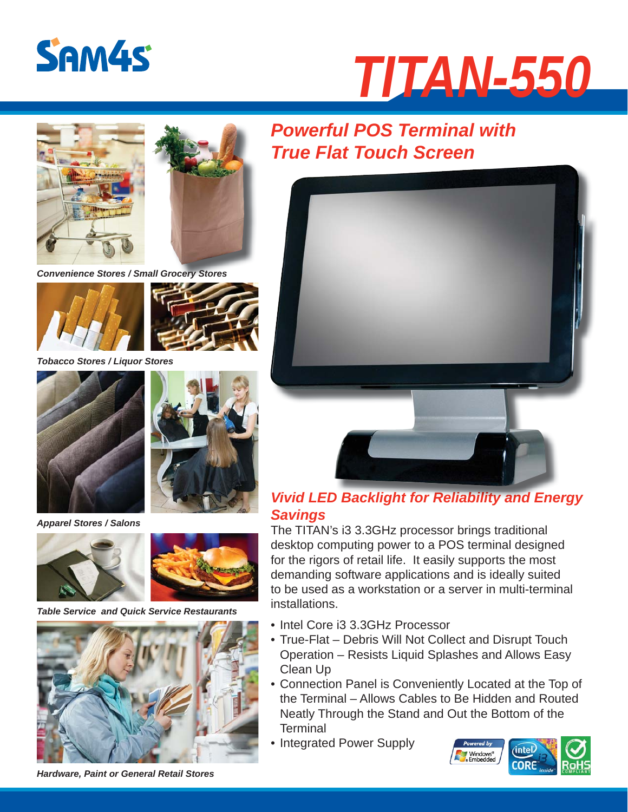

# *TITAN-550*





*Convenience Stores / Small Grocery Stores*





*Tobacco Stores / Liquor Stores* 



*Apparel Stores / Salons*





*Table Service and Quick Service Restaurants*



*Powerful POS Terminal with True Flat Touch Screen*



### *Vivid LED Backlight for Reliability and Energy Vivid LED Backlight for Reliability and Energy Savings*

The TITAN's i3 3.3GHz processor brings traditional desktop computing power to a POS terminal designed for the rigors of retail life. It easily supports the most demanding software applications and is ideally suited to be used as a workstation or a server in multi-terminal installations.

- Intel Core i3 3.3GHz Processor
- True-Flat Debris Will Not Collect and Disrupt Touch Operation – Resists Liquid Splashes and Allows Easy Clean Up
- Connection Panel is Conveniently Located at the Top of the Terminal – Allows Cables to Be Hidden and Routed Neatly Through the Stand and Out the Bottom of the **Terminal**
- Integrated Power Supply



*Hardware, Paint or General Retail Stores*